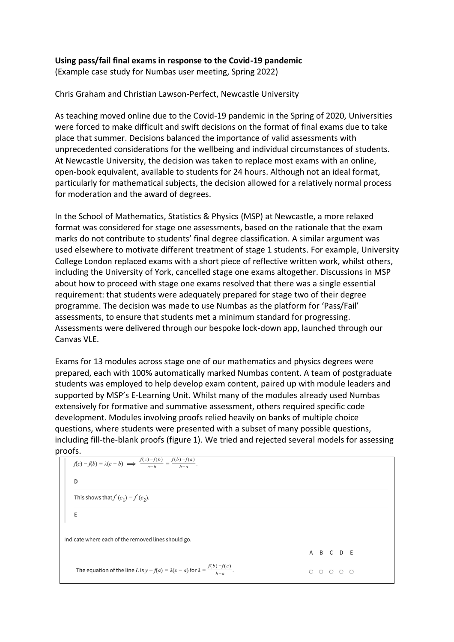## **Using pass/fail final exams in response to the Covid-19 pandemic**

(Example case study for Numbas user meeting, Spring 2022)

Chris Graham and Christian Lawson-Perfect, Newcastle University

As teaching moved online due to the Covid-19 pandemic in the Spring of 2020, Universities were forced to make difficult and swift decisions on the format of final exams due to take place that summer. Decisions balanced the importance of valid assessments with unprecedented considerations for the wellbeing and individual circumstances of students. At Newcastle University, the decision was taken to replace most exams with an online, open-book equivalent, available to students for 24 hours. Although not an ideal format, particularly for mathematical subjects, the decision allowed for a relatively normal process for moderation and the award of degrees.

In the School of Mathematics, Statistics & Physics (MSP) at Newcastle, a more relaxed format was considered for stage one assessments, based on the rationale that the exam marks do not contribute to students' final degree classification. A similar argument was used elsewhere to motivate different treatment of stage 1 students. For example, University College London replaced exams with a short piece of reflective written work, whilst others, including the University of York, cancelled stage one exams altogether. Discussions in MSP about how to proceed with stage one exams resolved that there was a single essential requirement: that students were adequately prepared for stage two of their degree programme. The decision was made to use Numbas as the platform for 'Pass/Fail' assessments, to ensure that students met a minimum standard for progressing. Assessments were delivered through our bespoke lock-down app, launched through our Canvas VLE.

Exams for 13 modules across stage one of our mathematics and physics degrees were prepared, each with 100% automatically marked Numbas content. A team of postgraduate students was employed to help develop exam content, paired up with module leaders and supported by MSP's E-Learning Unit. Whilst many of the modules already used Numbas extensively for formative and summative assessment, others required specific code development. Modules involving proofs relied heavily on banks of multiple choice questions, where students were presented with a subset of many possible questions, including fill-the-blank proofs (figure 1). We tried and rejected several models for assessing

```
proofs.<br>f(c) - f(b) = \lambda(c - b) \implies \frac{f(c) - f(b)}{c - b} = \frac{f(b) - f(a)}{c}.
      D
     This shows that f'(c_1) = f'(c_2).
      F
Indicate where each of the removed lines should go.
                                                                                                                                  A B C D E
      The equation of the line L is y - f(a) = \lambda(x - a) for \lambda = \frac{f(b) - f(a)}{b - a}.
                                                                                                                                  0\quad 0\quad 0\quad 0\quad 0
```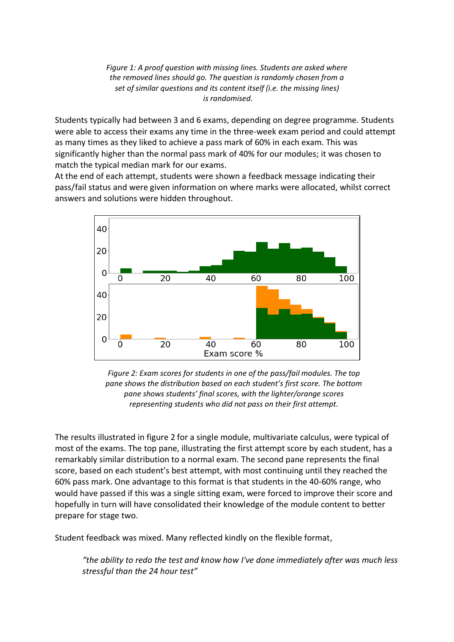*Figure 1: A proof question with missing lines. Students are asked where the removed lines should go. The question is randomly chosen from a set of similar questions and its content itself (i.e. the missing lines) is randomised.*

Students typically had between 3 and 6 exams, depending on degree programme. Students were able to access their exams any time in the three-week exam period and could attempt as many times as they liked to achieve a pass mark of 60% in each exam. This was significantly higher than the normal pass mark of 40% for our modules; it was chosen to match the typical median mark for our exams.

At the end of each attempt, students were shown a feedback message indicating their pass/fail status and were given information on where marks were allocated, whilst correct answers and solutions were hidden throughout.





The results illustrated in figure 2 for a single module, multivariate calculus, were typical of most of the exams. The top pane, illustrating the first attempt score by each student, has a remarkably similar distribution to a normal exam. The second pane represents the final score, based on each student's best attempt, with most continuing until they reached the 60% pass mark. One advantage to this format is that students in the 40-60% range, who would have passed if this was a single sitting exam, were forced to improve their score and hopefully in turn will have consolidated their knowledge of the module content to better prepare for stage two.

Student feedback was mixed. Many reflected kindly on the flexible format,

*"the ability to redo the test and know how I've done immediately after was much less stressful than the 24 hour test"*